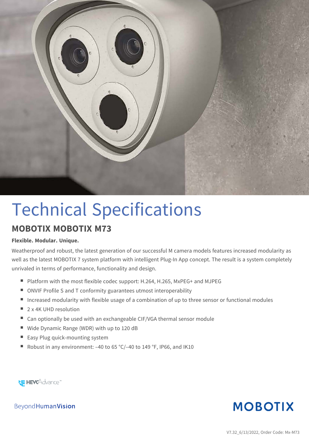

# Technical Specifications

#### **MOBOTIX MOBOTIX M73**

#### **Flexible. Modular. Unique.**

Weatherproof and robust, the latest generation of our successful M camera models features increased modularity as well as the latest MOBOTIX 7 system platform with intelligent Plug-In App concept. The result is a system completely unrivaled in terms of performance, functionality and design.

- Platform with the most flexible codec support: H.264, H.265, MxPEG+ and MJPEG
- ONVIF Profile S and T conformity guarantees utmost interoperability
- **n** Increased modularity with flexible usage of a combination of up to three sensor or functional modules
- $\Box$  2 x 4K UHD resolution
- Can optionally be used with an exchangeable CIF/VGA thermal sensor module
- Wide Dynamic Range (WDR) with up to 120 dB
- Easy Plug quick-mounting system
- Robust in any environment:  $-40$  to 65 °C/ $-40$  to 149 °F, IP66, and IK10



**MOBOTIX** 

Beyond Human Vision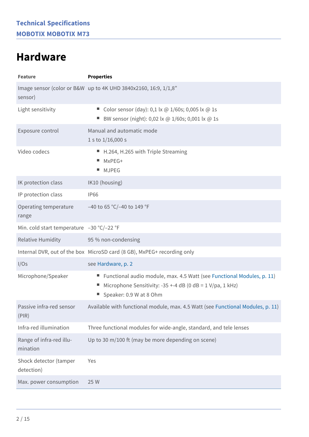### <span id="page-1-0"></span>**Hardware**

| <b>Feature</b>                            | <b>Properties</b>                                                                                                                                                |  |
|-------------------------------------------|------------------------------------------------------------------------------------------------------------------------------------------------------------------|--|
| sensor)                                   | Image sensor (color or B&W up to 4K UHD 3840x2160, 16:9, 1/1,8"                                                                                                  |  |
| Light sensitivity                         | Color sensor (day): 0,1 lx @ 1/60s; 0,005 lx @ 1s<br>BW sensor (night): 0,02 lx @ 1/60s; 0,001 lx @ 1s                                                           |  |
| Exposure control                          | Manual and automatic mode<br>1 s to $1/16,000$ s                                                                                                                 |  |
| Video codecs                              | ■ H.264, H.265 with Triple Streaming<br>MxPEG+<br><b>MJPEG</b><br>$\mathcal{L}_{\mathcal{A}}$                                                                    |  |
| IK protection class                       | IK10 (housing)                                                                                                                                                   |  |
| IP protection class                       | <b>IP66</b>                                                                                                                                                      |  |
| Operating temperature<br>range            | -40 to 65 °C/-40 to 149 °F                                                                                                                                       |  |
| Min. cold start temperature -30 °C/-22 °F |                                                                                                                                                                  |  |
| <b>Relative Humidity</b>                  | 95 % non-condensing                                                                                                                                              |  |
|                                           | Internal DVR, out of the box MicroSD card (8 GB), MxPEG+ recording only                                                                                          |  |
| I/Os                                      | see Hardware, p. 2                                                                                                                                               |  |
| Microphone/Speaker                        | ■ Functional audio module, max. 4.5 Watt (see Functional Modules, p. 11)<br>Microphone Sensitivity: -35 +-4 dB (0 dB = 1 V/pa, 1 kHz)<br>Speaker: 0.9 W at 8 Ohm |  |
| Passive infra-red sensor<br>(PIR)         | Available with functional module, max. 4.5 Watt (see Functional Modules, p. 11)                                                                                  |  |
| Infra-red illumination                    | Three functional modules for wide-angle, standard, and tele lenses                                                                                               |  |
| Range of infra-red illu-<br>mination      | Up to 30 m/100 ft (may be more depending on scene)                                                                                                               |  |
| Shock detector (tamper<br>detection)      | Yes                                                                                                                                                              |  |
| Max. power consumption                    | 25 W                                                                                                                                                             |  |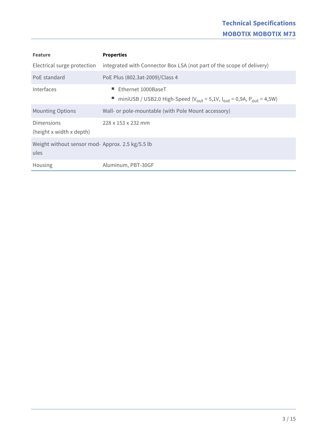| <b>Feature</b>                                           | <b>Properties</b>                                                                                                                 |
|----------------------------------------------------------|-----------------------------------------------------------------------------------------------------------------------------------|
| Electrical surge protection                              | integrated with Connector Box LSA (not part of the scope of delivery)                                                             |
| PoE standard                                             | PoE Plus (802.3at-2009)/Class 4                                                                                                   |
| Interfaces                                               | Ethernet 1000BaseT<br>miniUSB / USB2.0 High-Speed ( $V_{\text{out}} = 5.1V$ , $I_{\text{out}} = 0.9A$ , $P_{\text{out}} = 4.5W$ ) |
| <b>Mounting Options</b>                                  | Wall- or pole-mountable (with Pole Mount accessory)                                                                               |
| <b>Dimensions</b><br>(height x width x depth)            | 228 x 153 x 232 mm                                                                                                                |
| Weight without sensor mod- Approx. 2.5 kg/5.5 lb<br>ules |                                                                                                                                   |
| Housing                                                  | Aluminum, PBT-30GF                                                                                                                |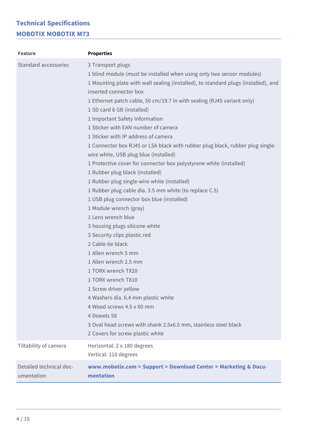| <b>Feature</b>                        | <b>Properties</b>                                                                                                                                                                                                                                                                                                                                                                                                                                                                                                                                                                                                                                                                                                                                                                                                                                                                                                                                                                                                                                                                                                                                                                                                                                                                 |
|---------------------------------------|-----------------------------------------------------------------------------------------------------------------------------------------------------------------------------------------------------------------------------------------------------------------------------------------------------------------------------------------------------------------------------------------------------------------------------------------------------------------------------------------------------------------------------------------------------------------------------------------------------------------------------------------------------------------------------------------------------------------------------------------------------------------------------------------------------------------------------------------------------------------------------------------------------------------------------------------------------------------------------------------------------------------------------------------------------------------------------------------------------------------------------------------------------------------------------------------------------------------------------------------------------------------------------------|
| Standard accessories                  | 3 Transport plugs<br>1 blind module (must be installed when using only two sensor modules)<br>1 Mounting plate with wall sealing (installed), to standard plugs (installed), and<br>inserted connector box<br>1 Ethernet patch cable, 50 cm/19.7 in with sealing (RJ45 variant only)<br>1 SD card 8 GB (installed)<br>1 Important Safety Information<br>1 Sticker with EAN number of camera<br>1 Sticker with IP address of camera<br>1 Connector box RJ45 or LSA black with rubber plug black, rubber plug single-<br>wire white, USB plug blue (installed)<br>1 Protective cover for connector box polystyrene white (installed)<br>1 Rubber plug black (installed)<br>1 Rubber plug single-wire white (installed)<br>1 Rubber plug cable dia. 3.5 mm white (to replace C.5)<br>1 USB plug connector box blue (installed)<br>1 Module wrench (gray)<br>1 Lens wrench blue<br>3 housing plugs silicone white<br>3 Security clips plastic red<br>2 Cable tie black<br>1 Allen wrench 5 mm<br>1 Allen wrench 2.5 mm<br>1 TORX wrench TX20<br>1 TORX wrench TX10<br>1 Screw driver yellow<br>4 Washers dia. 6.4 mm plastic white<br>4 Wood screws 4.5 x 60 mm<br>4 Dowels S8<br>3 Oval head screws with shank 2.5x6.5 mm, stainless steel black<br>2 Covers for screw plastic white |
| Tiltability of camera                 | Horizontal: 2 x 180 degrees<br>Vertical: 110 degrees                                                                                                                                                                                                                                                                                                                                                                                                                                                                                                                                                                                                                                                                                                                                                                                                                                                                                                                                                                                                                                                                                                                                                                                                                              |
| Detailed technical doc-<br>umentation | www.mobotix.com > Support > Download Center > Marketing & Docu-<br>mentation                                                                                                                                                                                                                                                                                                                                                                                                                                                                                                                                                                                                                                                                                                                                                                                                                                                                                                                                                                                                                                                                                                                                                                                                      |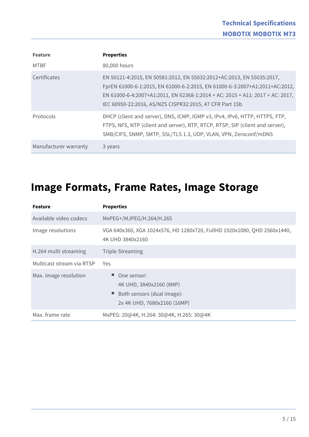| <b>Feature</b>        | <b>Properties</b>                                                                                                                                                                                                                                                                                |
|-----------------------|--------------------------------------------------------------------------------------------------------------------------------------------------------------------------------------------------------------------------------------------------------------------------------------------------|
| <b>MTBF</b>           | 80,000 hours                                                                                                                                                                                                                                                                                     |
| Certificates          | EN 50121-4:2015, EN 50581:2012, EN 55032:2012+AC:2013, EN 55035:2017,<br>FprEN 61000-6-1:2015, EN 61000-6-2:2015, EN 61000-6-3:2007+A1:2011+AC:2012,<br>EN 61000-6-4:2007+A1:2011, EN 62368-1:2014 + AC: 2015 + A11: 2017 + AC: 2017,<br>IEC 60950-22:2016, AS/NZS CISPR32:2015, 47 CFR Part 15b |
| Protocols             | DHCP (client and server), DNS, ICMP, IGMP v3, IPv4, IPv6, HTTP, HTTPS, FTP,<br>FTPS, NFS, NTP (client and server), RTP, RTCP, RTSP, SIP (client and server),<br>SMB/CIFS, SNMP, SMTP, SSL/TLS 1.3, UDP, VLAN, VPN, Zeroconf/mDNS                                                                 |
| Manufacturer warranty | 3 years                                                                                                                                                                                                                                                                                          |

### **Image Formats, Frame Rates, Image Storage**

| <b>Feature</b>            | <b>Properties</b>                                                                                   |
|---------------------------|-----------------------------------------------------------------------------------------------------|
| Available video codecs    | MxPEG+/MJPEG/H.264/H.265                                                                            |
| Image resolutions         | VGA 640x360, XGA 1024x576, HD 1280x720, FullHD 1920x1080, QHD 2560x1440,<br>4K UHD 3840x2160        |
| H.264 multi streaming     | <b>Triple Streaming</b>                                                                             |
| Multicast stream via RTSP | <b>Yes</b>                                                                                          |
| Max. image resolution     | One sensor:<br>4K UHD, 3840x2160 (8MP)<br>Both sensors (dual image):<br>2x 4K UHD, 7680x2160 (16MP) |
| Max. frame rate           | MxPEG: 20@4K, H.264: 30@4K, H.265: 30@4K                                                            |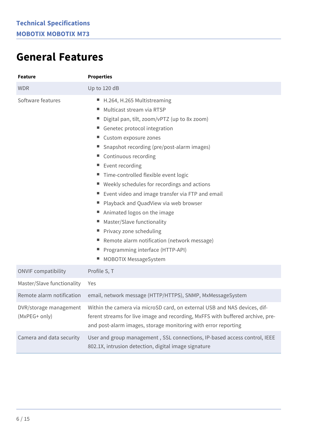### **General Features**

| <b>Feature</b>                          | <b>Properties</b>                                                                                                                                                                                                                                                                                                                                                                                                                                                                                                                                                                                                                                                                    |  |
|-----------------------------------------|--------------------------------------------------------------------------------------------------------------------------------------------------------------------------------------------------------------------------------------------------------------------------------------------------------------------------------------------------------------------------------------------------------------------------------------------------------------------------------------------------------------------------------------------------------------------------------------------------------------------------------------------------------------------------------------|--|
| <b>WDR</b>                              | Up to 120 dB                                                                                                                                                                                                                                                                                                                                                                                                                                                                                                                                                                                                                                                                         |  |
| Software features                       | ■ H.264, H.265 Multistreaming<br>Multicast stream via RTSP<br>н.<br>Digital pan, tilt, zoom/vPTZ (up to 8x zoom)<br>Genetec protocol integration<br>■ Custom exposure zones<br>■ Snapshot recording (pre/post-alarm images)<br>■ Continuous recording<br>Event recording<br>н.<br>" Time-controlled flexible event logic<br>■ Weekly schedules for recordings and actions<br>Event video and image transfer via FTP and email<br>Playback and QuadView via web browser<br>■ Animated logos on the image<br>Master/Slave functionality<br>■ Privacy zone scheduling<br>Remote alarm notification (network message)<br>٠.<br>Programming interface (HTTP-API)<br>MOBOTIX MessageSystem |  |
| <b>ONVIF compatibility</b>              | Profile S, T                                                                                                                                                                                                                                                                                                                                                                                                                                                                                                                                                                                                                                                                         |  |
| Master/Slave functionality              | Yes                                                                                                                                                                                                                                                                                                                                                                                                                                                                                                                                                                                                                                                                                  |  |
| Remote alarm notification               | email, network message (HTTP/HTTPS), SNMP, MxMessageSystem                                                                                                                                                                                                                                                                                                                                                                                                                                                                                                                                                                                                                           |  |
| DVR/storage management<br>(MxPEG+ only) | Within the camera via microSD card, on external USB and NAS devices, dif-<br>ferent streams for live image and recording, MxFFS with buffered archive, pre-<br>and post-alarm images, storage monitoring with error reporting                                                                                                                                                                                                                                                                                                                                                                                                                                                        |  |
| Camera and data security                | User and group management, SSL connections, IP-based access control, IEEE<br>802.1X, intrusion detection, digital image signature                                                                                                                                                                                                                                                                                                                                                                                                                                                                                                                                                    |  |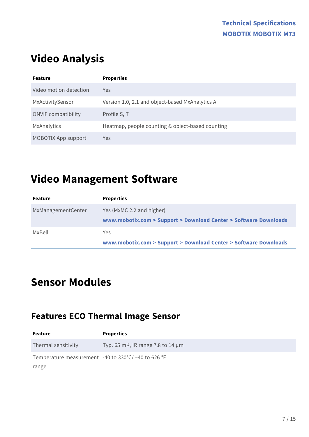### **Video Analysis**

| <b>Feature</b>             | <b>Properties</b>                                |
|----------------------------|--------------------------------------------------|
| Video motion detection     | Yes                                              |
| MxActivitySensor           | Version 1.0, 2.1 and object-based MxAnalytics AI |
| <b>ONVIF</b> compatibility | Profile S, T                                     |
| MxAnalytics                | Heatmap, people counting & object-based counting |
| <b>MOBOTIX App support</b> | Yes                                              |

### **Video Management Software**

| Feature            | <b>Properties</b>                                                                             |
|--------------------|-----------------------------------------------------------------------------------------------|
| MxManagementCenter | Yes (MxMC 2.2 and higher)<br>www.mobotix.com > Support > Download Center > Software Downloads |
| MxBell             | Yes.<br>www.mobotix.com > Support > Download Center > Software Downloads                      |

### **Sensor Modules**

#### **Features ECO Thermal Image Sensor**

| <b>Feature</b>                                                | <b>Properties</b>                      |
|---------------------------------------------------------------|----------------------------------------|
| Thermal sensitivity                                           | Typ. 65 mK, IR range 7.8 to 14 $\mu$ m |
| Temperature measurement -40 to $330^{\circ}$ C/ -40 to 626 °F |                                        |
| range                                                         |                                        |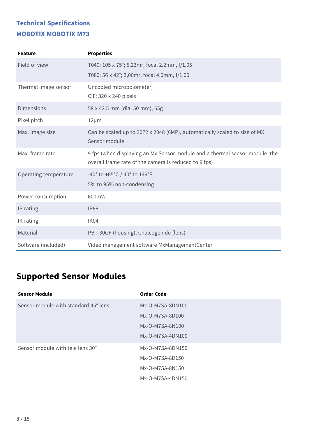| <b>Feature</b>        | <b>Properties</b>                                                                                                                    |
|-----------------------|--------------------------------------------------------------------------------------------------------------------------------------|
| Field of view         | T040: 105 x 75°; 5,23mr, focal 2.2mm, f/1.05<br>T080: 56 x 42°; 3,00mr, focal 4.0mm, f/1.00                                          |
| Thermal image sensor  | Uncooled microbolometer,<br>CIF: 320 x 240 pixels                                                                                    |
| <b>Dimensions</b>     | 58 x 42.5 mm (dia. 50 mm), 65g                                                                                                       |
| Pixel pitch           | $12 \mu m$                                                                                                                           |
| Max. image size       | Can be scaled up to 3072 x 2048 (6MP), automatically scaled to size of MX<br>Sensor module                                           |
| Max. frame rate       | 9 fps (when displaying an Mx Sensor module and a thermal sensor module, the<br>overall frame rate of the camera is reduced to 9 fps) |
| Operating temperature | -40° to +65°C / 40° to 149°F;<br>5% to 95% non-condensing                                                                            |
| Power consumption     | 600mW                                                                                                                                |
| IP rating             | <b>IP66</b>                                                                                                                          |
| IK rating             | IK04                                                                                                                                 |
| Material              | PBT-30GF (housing); Chalcogenide (lens)                                                                                              |
| Software (included)   | Video management software MxManagementCenter                                                                                         |

### **Supported Sensor Modules**

| <b>Sensor Module</b>                 | <b>Order Code</b> |
|--------------------------------------|-------------------|
| Sensor module with standard 45° lens | Mx-O-M7SA-8DN100  |
|                                      | Mx-O-M7SA-8D100   |
|                                      | Mx-O-M7SA-8N100   |
|                                      | Mx-O-M7SA-4DN100  |
| Sensor module with tele lens 30°     | Mx-O-M7SA-8DN150  |
|                                      | Mx-O-M7SA-8D150   |
|                                      | Mx-O-M7SA-8N150   |
|                                      | Mx-O-M7SA-4DN150  |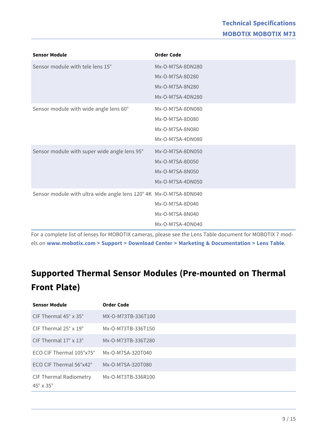| <b>Sensor Module</b>                                              | <b>Order Code</b> |
|-------------------------------------------------------------------|-------------------|
| Sensor module with tele lens 15°                                  | Mx-O-M7SA-8DN280  |
|                                                                   | Mx-O-M7SA-8D280   |
|                                                                   | Mx-O-M7SA-8N280   |
|                                                                   | Mx-O-M7SA-4DN280  |
| Sensor module with wide angle lens 60°                            | Mx-O-M7SA-8DN080  |
|                                                                   | Mx-O-M7SA-8D080   |
|                                                                   | Mx-O-M7SA-8N080   |
|                                                                   | Mx-O-M7SA-4DN080  |
| Sensor module with super wide angle lens 95°                      | Mx-O-M7SA-8DN050  |
|                                                                   | Mx-O-M7SA-8D050   |
|                                                                   | Mx-O-M7SA-8N050   |
|                                                                   | Mx-O-M7SA-4DN050  |
| Sensor module with ultra wide angle lens 120° 4K Mx-O-M7SA-8DN040 |                   |
|                                                                   | Mx-O-M7SA-8D040   |
|                                                                   | Mx-O-M7SA-8N040   |
|                                                                   | Mx-O-M7SA-4DN040  |

For a complete list of lenses for MOBOTIX cameras, please see the Lens Table document for MOBOTIX 7 models on **[www.mobotix.com > Support > Download Center > Marketing & Documentation > Lens Table](https://www.mobotix.com/support/download-center/documenation/lens-table)**.

### **Supported Thermal Sensor Modules (Pre-mounted on Thermal Front Plate)**

| <b>Sensor Module</b>                                        | <b>Order Code</b>  |
|-------------------------------------------------------------|--------------------|
| CIF Thermal $45^\circ \times 35^\circ$                      | MX-O-M73TB-336T100 |
| CIF Thermal $25^\circ \times 19^\circ$                      | Mx-O-M73TB-336T150 |
| CIF Thermal $17^{\circ} \times 13^{\circ}$                  | Mx-O-M73TB-336T280 |
| ECO CIF Thermal $105^{\circ}x75^{\circ}$                    | Mx-O-M7SA-320T040  |
| ECO CIF Thermal 56°x42°                                     | Mx-O-M7SA-320T080  |
| <b>CIF Thermal Radiometry</b><br>$45^\circ \times 35^\circ$ | Mx-O-M73TB-336R100 |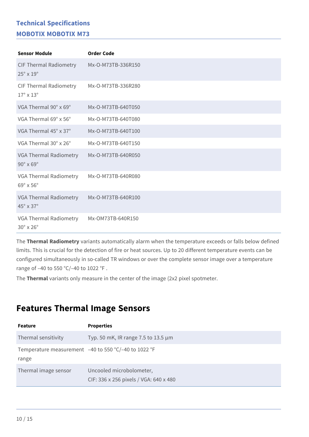| <b>Sensor Module</b>                                        | <b>Order Code</b>  |
|-------------------------------------------------------------|--------------------|
| <b>CIF Thermal Radiometry</b><br>$25^\circ \times 19^\circ$ | Mx-O-M73TB-336R150 |
| <b>CIF Thermal Radiometry</b><br>$17^\circ \times 13^\circ$ | Mx-O-M73TB-336R280 |
| VGA Thermal 90° x 69°                                       | Mx-O-M73TB-640T050 |
| VGA Thermal 69° x 56°                                       | Mx-O-M73TB-640T080 |
| VGA Thermal 45° x 37°                                       | Mx-O-M73TB-640T100 |
| VGA Thermal 30° x 26°                                       | Mx-O-M73TB-640T150 |
| VGA Thermal Radiometry<br>$90^\circ \times 69^\circ$        | Mx-O-M73TB-640R050 |
| VGA Thermal Radiometry<br>$69^\circ \times 56^\circ$        | Mx-O-M73TB-640R080 |
| VGA Thermal Radiometry<br>$45^\circ \times 37^\circ$        | Mx-O-M73TB-640R100 |
| VGA Thermal Radiometry<br>$30^\circ \times 26^\circ$        | Mx-OM73TB-640R150  |

The **Thermal Radiometry** variants automatically alarm when the temperature exceeds or falls below defined limits. This is crucial for the detection of fire or heat sources. Up to 20 different temperature events can be configured simultaneously in so-called TR windows or over the complete sensor image over a temperature range of –40 to 550 °C/–40 to 1022 °F .

The **Thermal** variants only measure in the center of the image (2x2 pixel spotmeter.

#### **Features Thermal Image Sensors**

| <b>Feature</b>       | <b>Properties</b>                                                  |
|----------------------|--------------------------------------------------------------------|
| Thermal sensitivity  | Typ. 50 mK, IR range 7.5 to 13.5 $\mu$ m                           |
| range                | Temperature measurement $-40$ to 550 °C/-40 to 1022 °F             |
| Thermal image sensor | Uncooled microbolometer,<br>CIF: 336 x 256 pixels / VGA: 640 x 480 |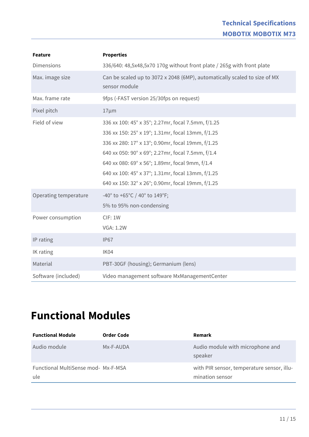| <b>Feature</b>        | <b>Properties</b>                                                                          |
|-----------------------|--------------------------------------------------------------------------------------------|
| <b>Dimensions</b>     | 336/640: 48,5x48,5x70 170g without front plate / 265g with front plate                     |
| Max. image size       | Can be scaled up to 3072 x 2048 (6MP), automatically scaled to size of MX<br>sensor module |
| Max. frame rate       | 9fps (-FAST version 25/30fps on request)                                                   |
| Pixel pitch           | $17 \mu m$                                                                                 |
| Field of view         | 336 xx 100: 45° x 35°; 2.27mr, focal 7.5mm, f/1.25                                         |
|                       | 336 xx 150: 25° x 19°; 1.31mr, focal 13mm, f/1.25                                          |
|                       | 336 xx 280: 17° x 13°; 0.90mr, focal 19mm, f/1.25                                          |
|                       | 640 xx 050: 90° x 69°; 2.27mr, focal 7.5mm, f/1.4                                          |
|                       | 640 xx 080: 69° x 56°; 1.89mr, focal 9mm, f/1.4                                            |
|                       | 640 xx 100: 45° x 37°; 1.31mr, focal 13mm, f/1.25                                          |
|                       | 640 xx 150: 32° x 26°; 0.90mr, focal 19mm, f/1.25                                          |
| Operating temperature | -40° to +65°C / 40° to 149°F;                                                              |
|                       | 5% to 95% non-condensing                                                                   |
| Power consumption     | CIF: 1W                                                                                    |
|                       | <b>VGA: 1.2W</b>                                                                           |
| IP rating             | <b>IP67</b>                                                                                |
| IK rating             | IK04                                                                                       |
| Material              | PBT-30GF (housing); Germanium (lens)                                                       |
| Software (included)   | Video management software MxManagementCenter                                               |

### <span id="page-10-0"></span>**Functional Modules**

| <b>Functional Module</b>                          | Order Code | Remark                                                        |
|---------------------------------------------------|------------|---------------------------------------------------------------|
| Audio module                                      | Mx-F-AUDA  | Audio module with microphone and<br>speaker                   |
| <b>Functional MultiSense mod- Mx-F-MSA</b><br>ule |            | with PIR sensor, temperature sensor, illu-<br>mination sensor |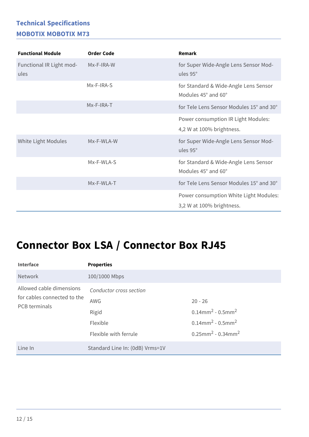| <b>Functional Module</b>         | <b>Order Code</b> | Remark                                                              |
|----------------------------------|-------------------|---------------------------------------------------------------------|
| Functional IR Light mod-<br>ules | Mx-F-IRA-W        | for Super Wide-Angle Lens Sensor Mod-<br>ules 95°                   |
|                                  | Mx-F-IRA-S        | for Standard & Wide-Angle Lens Sensor<br>Modules 45° and 60°        |
|                                  | Mx-F-IRA-T        | for Tele Lens Sensor Modules 15° and 30°                            |
|                                  |                   | Power consumption IR Light Modules:                                 |
|                                  |                   | 4,2 W at 100% brightness.                                           |
| White Light Modules              | Mx-F-WLA-W        | for Super Wide-Angle Lens Sensor Mod-<br>ules 95°                   |
|                                  | Mx-F-WLA-S        | for Standard & Wide-Angle Lens Sensor<br>Modules 45° and 60°        |
|                                  | Mx-F-WLA-T        | for Tele Lens Sensor Modules 15° and 30°                            |
|                                  |                   | Power consumption White Light Modules:<br>3,2 W at 100% brightness. |

### **Connector Box LSA / Connector Box RJ45**

| <b>Interface</b>                                                                | <b>Properties</b>               |                                                |
|---------------------------------------------------------------------------------|---------------------------------|------------------------------------------------|
| <b>Network</b>                                                                  | 100/1000 Mbps                   |                                                |
| Allowed cable dimensions<br>for cables connected to the<br><b>PCB</b> terminals | Conductor cross section         |                                                |
|                                                                                 | <b>AWG</b>                      | $20 - 26$                                      |
|                                                                                 | Rigid                           | $0.14$ mm <sup>2</sup> - $0.5$ mm <sup>2</sup> |
|                                                                                 | Flexible                        | $0.14$ mm <sup>2</sup> - $0.5$ mm <sup>2</sup> |
|                                                                                 | Flexible with ferrule           | $0.25$ mm <sup>2</sup> - 0.34mm <sup>2</sup>   |
| Line In                                                                         | Standard Line In: (0dB) Vrms=1V |                                                |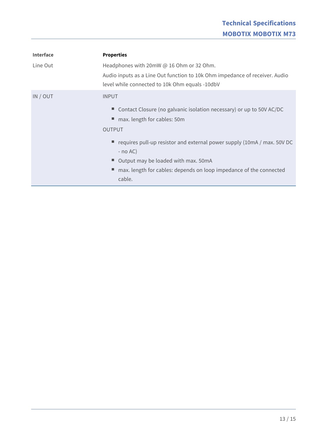| <b>Interface</b> | <b>Properties</b>                                                                                                             |
|------------------|-------------------------------------------------------------------------------------------------------------------------------|
| Line Out         | Headphones with 20mW @ 16 Ohm or 32 Ohm.                                                                                      |
|                  | Audio inputs as a Line Out function to 10k Ohm impedance of receiver. Audio<br>level while connected to 10k Ohm equals -10dbV |
| IN / OUT         | <b>INPUT</b>                                                                                                                  |
|                  | Contact Closure (no galvanic isolation necessary) or up to 50V AC/DC                                                          |
|                  | max. length for cables: 50m                                                                                                   |
|                  | <b>OUTPUT</b>                                                                                                                 |
|                  | $\blacksquare$ requires pull-up resistor and external power supply (10mA / max. 50V DC<br>$-$ no AC)                          |
|                  | ■ Output may be loaded with max. 50mA                                                                                         |
|                  | max. length for cables: depends on loop impedance of the connected                                                            |
|                  | cable.                                                                                                                        |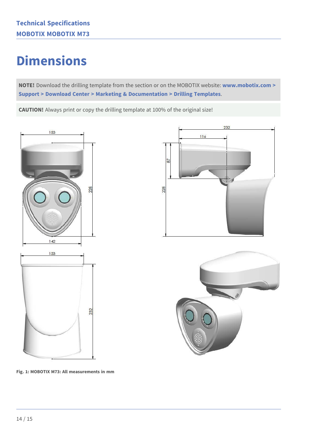## **Dimensions**

**NOTE!** Download the drilling template from the section or on the MOBOTIX website: **[www.mobotix.com >](https://www.mobotix.com/drilling-templates)  [Support > Download Center > Marketing & Documentation > Drilling Templates](https://www.mobotix.com/drilling-templates)**.

**CAUTION!** Always print or copy the drilling template at 100% of the original size!







**Fig. 1: MOBOTIX M73: All measurements in mm**